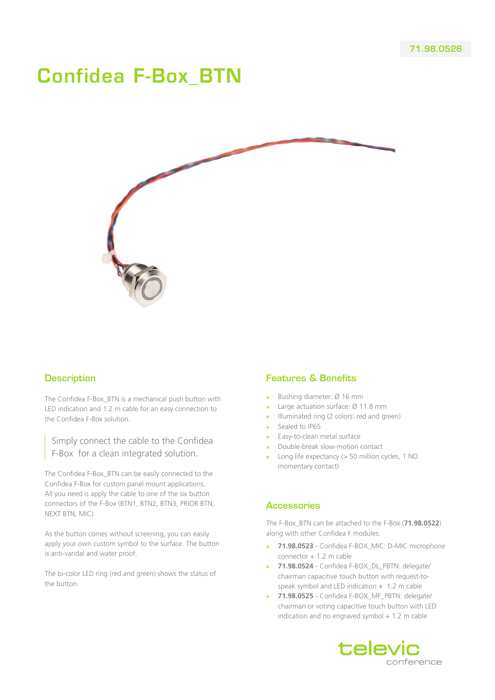# Confidea F-Box\_BTN



#### **Description**

The Confidea F-Box\_BTN is a mechanical push button with LED indication and 1.2 m cable for an easy connection to the Confidea F-Box solution.

Simply connect the cable to the Confidea F-Box for a clean integrated solution.

The Confidea F-Box\_BTN can be easily connected to the Confidea F-Box for custom panel mount applications. All you need is apply the cable to one of the six button connectors of the F-Box (BTN1, BTN2, BTN3, PRIOR BTN, NEXT BTN, MIC).

As the button comes without screening, you can easily apply your own custom symbol to the surface. The button is anti-vandal and water proof.

The bi-color LED ring (red and green) shows the status of the button.

#### Features & Benefits

- **»** Bushing diameter: Ø 16 mm
- **»** Large actuation surface: Ø 11.8 mm
- **»** Illuminated ring (2 colors: red and green)
- **»** Sealed to IP65
- **»** Easy-to-clean metal surface
- **»** Double-break slow-motion contact
- **»** Long life expectancy (> 50 million cycles, 1 NO momentary contact)

#### **Accessories**

The F-Box\_BTN can be attached to the F-Box (**71.98.0522**) along with other Confidea F modules:

- **» 71.98.0523** Confidea F-BOX\_MIC: D-MIC microphone connector + 1.2 m cable
- **» 71.98.0524** Confidea F-BOX\_DL\_PBTN: delegate/ chairman capacitive touch button with request-tospeak symbol and LED indication  $+$  1.2 m cable
- **» 71.98.0525** Confidea F-BOX\_MF\_PBTN: delegate/ chairman or voting capacitive touch button with LED indication and no engraved symbol  $+1.2$  m cable